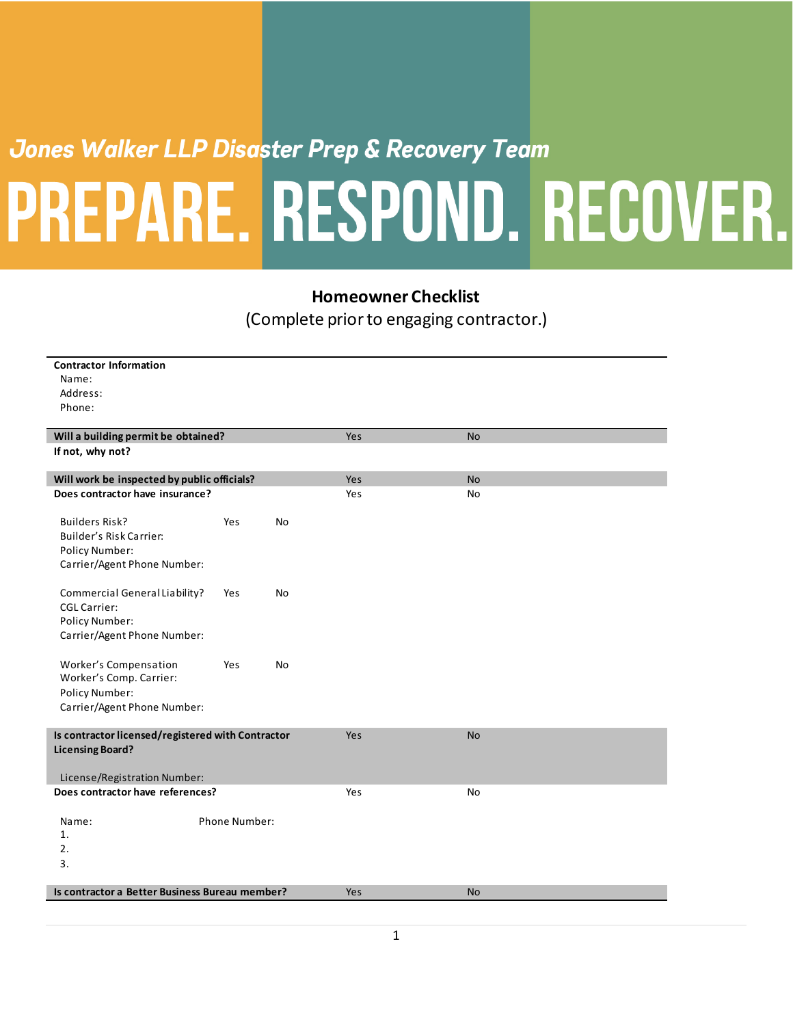## Jones Walker LLP Disaster Prep & Recovery Team PREPARE. RESPOND. RECOVER.

## **Homeowner Checklist**

(Complete prior to engaging contractor.)

| <b>Contractor Information</b>                     |     |           |     |           |
|---------------------------------------------------|-----|-----------|-----|-----------|
| Name:                                             |     |           |     |           |
| Address:                                          |     |           |     |           |
| Phone:                                            |     |           |     |           |
|                                                   |     |           |     |           |
| Will a building permit be obtained?               |     |           | Yes | <b>No</b> |
| If not, why not?                                  |     |           |     |           |
| Will work be inspected by public officials?       |     |           | Yes | <b>No</b> |
| Does contractor have insurance?                   |     |           | Yes | <b>No</b> |
|                                                   |     |           |     |           |
| <b>Builders Risk?</b>                             | Yes | No        |     |           |
| Builder's Risk Carrier:                           |     |           |     |           |
| <b>Policy Number:</b>                             |     |           |     |           |
| Carrier/Agent Phone Number:                       |     |           |     |           |
| Commercial General Liability?                     | Yes | No        |     |           |
| <b>CGL Carrier:</b>                               |     |           |     |           |
| <b>Policy Number:</b>                             |     |           |     |           |
| Carrier/Agent Phone Number:                       |     |           |     |           |
|                                                   |     |           |     |           |
| Worker's Compensation                             | Yes | <b>No</b> |     |           |
| Worker's Comp. Carrier:                           |     |           |     |           |
| <b>Policy Number:</b>                             |     |           |     |           |
| Carrier/Agent Phone Number:                       |     |           |     |           |
| Is contractor licensed/registered with Contractor |     |           | Yes | <b>No</b> |
| <b>Licensing Board?</b>                           |     |           |     |           |
|                                                   |     |           |     |           |
| License/Registration Number:                      |     |           |     |           |
| Does contractor have references?                  |     |           | Yes | No        |
| <b>Phone Number:</b><br>Name:                     |     |           |     |           |
| 1.                                                |     |           |     |           |
| 2.                                                |     |           |     |           |
| 3.                                                |     |           |     |           |
|                                                   |     |           |     |           |
| Is contractor a Better Business Bureau member?    |     |           | Yes | <b>No</b> |